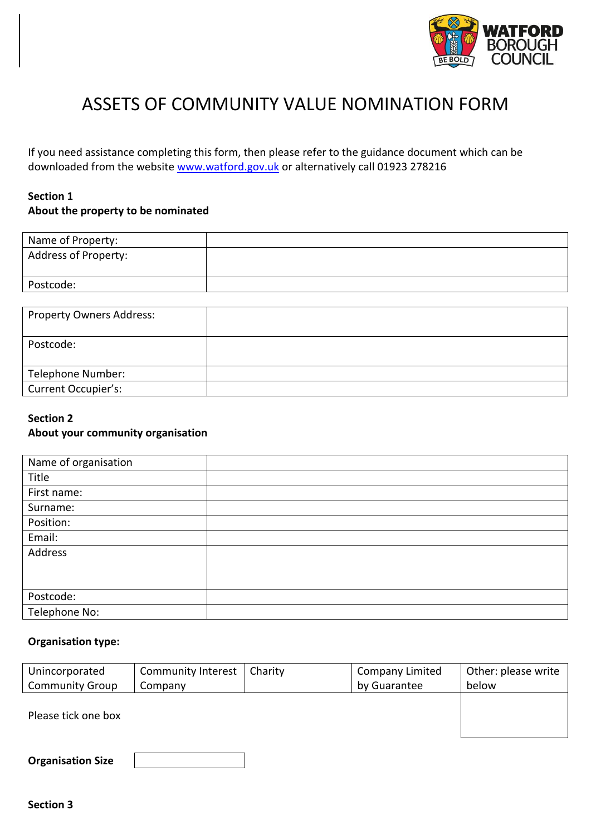

# ASSETS OF COMMUNITY VALUE NOMINATION FORM

If you need assistance completing this form, then please refer to the guidance document which can be downloaded from the website [www.watford.gov.uk](http://www.watford.gov.uk/) or alternatively call 01923 278216

## **Section 1 About the property to be nominated**

| Name of Property:           |  |
|-----------------------------|--|
| <b>Address of Property:</b> |  |
| Postcode:                   |  |

| <b>Property Owners Address:</b> |  |
|---------------------------------|--|
| Postcode:                       |  |
| Telephone Number:               |  |
| Current Occupier's:             |  |

## **Section 2 About your community organisation**

| Name of organisation |  |
|----------------------|--|
| Title                |  |
| First name:          |  |
| Surname:             |  |
| Position:            |  |
| Email:               |  |
| Address              |  |
|                      |  |
|                      |  |
| Postcode:            |  |
| Telephone No:        |  |

#### **Organisation type:**

| Unincorporated         | <b>Community Interest</b> | Charity | <b>Company Limited</b> | Other: please write |
|------------------------|---------------------------|---------|------------------------|---------------------|
| <b>Community Group</b> | Company                   |         | by Guarantee           | below               |
| Please tick one box    |                           |         |                        |                     |
|                        |                           |         |                        |                     |

| <b>Organisation Size</b> |  |
|--------------------------|--|
|--------------------------|--|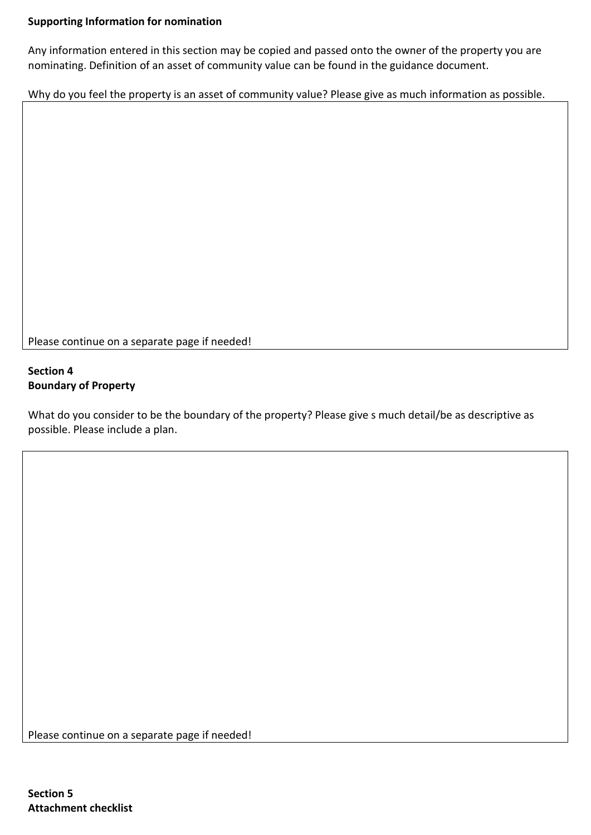## **Supporting Information for nomination**

Any information entered in this section may be copied and passed onto the owner of the property you are nominating. Definition of an asset of community value can be found in the guidance document.

Why do you feel the property is an asset of community value? Please give as much information as possible.

Please continue on a separate page if needed!

### **Section 4 Boundary of Property**

What do you consider to be the boundary of the property? Please give s much detail/be as descriptive as possible. Please include a plan.

Please continue on a separate page if needed!